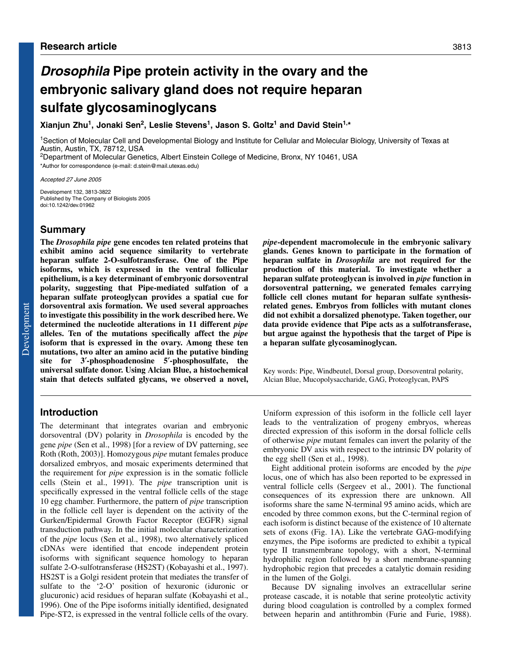# **Drosophila Pipe protein activity in the ovary and the embryonic salivary gland does not require heparan sulfate glycosaminoglycans**

**Xianjun Zhu1, Jonaki Sen2, Leslie Stevens1, Jason S. Goltz1 and David Stein1,\***

1Section of Molecular Cell and Developmental Biology and Institute for Cellular and Molecular Biology, University of Texas at Austin, Austin, TX, 78712, USA 2Department of Molecular Genetics, Albert Einstein College of Medicine, Bronx, NY 10461, USA

\*Author for correspondence (e-mail: d.stein@mail.utexas.edu)

Accepted 27 June 2005

Development 132, 3813-3822 Published by The Company of Biologists 2005 doi:10.1242/dev.01962

### **Summary**

**The** *Drosophila pipe* **gene encodes ten related proteins that exhibit amino acid sequence similarity to vertebrate heparan sulfate 2-O-sulfotransferase. One of the Pipe isoforms, which is expressed in the ventral follicular epithelium, is a key determinant of embryonic dorsoventral polarity, suggesting that Pipe-mediated sulfation of a heparan sulfate proteoglycan provides a spatial cue for dorsoventral axis formation. We used several approaches to investigate this possibility in the work described here. We determined the nucleotide alterations in 11 different** *pipe* **alleles. Ten of the mutations specifically affect the** *pipe* **isoform that is expressed in the ovary. Among these ten mutations, two alter an amino acid in the putative binding site for 3**′**-phosphoadenosine 5**′**-phosphosulfate, the universal sulfate donor. Using Alcian Blue, a histochemical stain that detects sulfated glycans, we observed a novel,**

## **Introduction**

The determinant that integrates ovarian and embryonic dorsoventral (DV) polarity in *Drosophila* is encoded by the gene *pipe* (Sen et al., 1998) [for a review of DV patterning, see Roth (Roth, 2003)]. Homozygous *pipe* mutant females produce dorsalized embryos, and mosaic experiments determined that the requirement for *pipe* expression is in the somatic follicle cells (Stein et al., 1991). The *pipe* transcription unit is specifically expressed in the ventral follicle cells of the stage 10 egg chamber. Furthermore, the pattern of *pipe* transcription in the follicle cell layer is dependent on the activity of the Gurken/Epidermal Growth Factor Receptor (EGFR) signal transduction pathway. In the initial molecular characterization of the *pipe* locus (Sen et al., 1998), two alternatively spliced cDNAs were identified that encode independent protein isoforms with significant sequence homology to heparan sulfate 2-O-sulfotransferase (HS2ST) (Kobayashi et al., 1997). HS2ST is a Golgi resident protein that mediates the transfer of sulfate to the '2-O' position of hexuronic (iduronic or glucuronic) acid residues of heparan sulfate (Kobayashi et al., 1996). One of the Pipe isoforms initially identified, designated Pipe-ST2, is expressed in the ventral follicle cells of the ovary. *pipe***-dependent macromolecule in the embryonic salivary glands. Genes known to participate in the formation of heparan sulfate in** *Drosophila* **are not required for the production of this material. To investigate whether a heparan sulfate proteoglycan is involved in** *pipe* **function in dorsoventral patterning, we generated females carrying follicle cell clones mutant for heparan sulfate synthesisrelated genes. Embryos from follicles with mutant clones did not exhibit a dorsalized phenotype. Taken together, our data provide evidence that Pipe acts as a sulfotransferase, but argue against the hypothesis that the target of Pipe is a heparan sulfate glycosaminoglycan.**

Key words: Pipe, Windbeutel, Dorsal group, Dorsoventral polarity, Alcian Blue, Mucopolysaccharide, GAG, Proteoglycan, PAPS

Uniform expression of this isoform in the follicle cell layer leads to the ventralization of progeny embryos, whereas directed expression of this isoform in the dorsal follicle cells of otherwise *pipe* mutant females can invert the polarity of the embryonic DV axis with respect to the intrinsic DV polarity of the egg shell (Sen et al., 1998).

Eight additional protein isoforms are encoded by the *pipe* locus, one of which has also been reported to be expressed in ventral follicle cells (Sergeev et al., 2001). The functional consequences of its expression there are unknown. All isoforms share the same N-terminal 95 amino acids, which are encoded by three common exons, but the C-terminal region of each isoform is distinct because of the existence of 10 alternate sets of exons (Fig. 1A). Like the vertebrate GAG-modifying enzymes, the Pipe isoforms are predicted to exhibit a typical type II transmembrane topology, with a short, N-terminal hydrophilic region followed by a short membrane-spanning hydrophobic region that precedes a catalytic domain residing in the lumen of the Golgi.

Because DV signaling involves an extracellular serine protease cascade, it is notable that serine proteolytic activity during blood coagulation is controlled by a complex formed between heparin and antithrombin (Furie and Furie, 1988).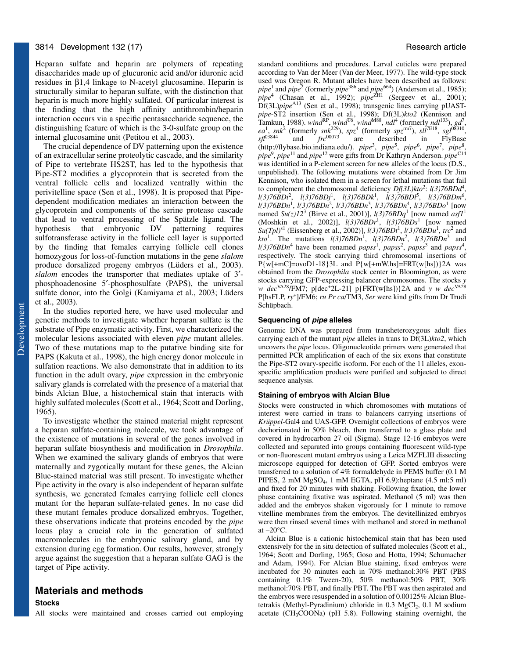Heparan sulfate and heparin are polymers of repeating disaccharides made up of glucuronic acid and/or iduronic acid residues in β1,4 linkage to N-acetyl glucosamine. Heparin is structurally similar to heparan sulfate, with the distinction that heparin is much more highly sulfated. Of particular interest is the finding that the high affinity antithrombin/heparin interaction occurs via a specific pentasaccharide sequence, the distinguishing feature of which is the 3-0-sulfate group on the internal glucosamine unit (Petitou et al., 2003).

The crucial dependence of DV patterning upon the existence of an extracellular serine proteolytic cascade, and the similarity of Pipe to vertebrate HS2ST, has led to the hypothesis that Pipe-ST2 modifies a glycoprotein that is secreted from the ventral follicle cells and localized ventrally within the perivitelline space (Sen et al., 1998). It is proposed that Pipedependent modification mediates an interaction between the glycoprotein and components of the serine protease cascade that lead to ventral processing of the Spätzle ligand. The hypothesis that embryonic DV patterning requires sulfotransferase activity in the follicle cell layer is supported by the finding that females carrying follicle cell clones homozygous for loss-of-function mutations in the gene *slalom* produce dorsalized progeny embryos (Lüders et al., 2003). *slalom* encodes the transporter that mediates uptake of 3′ phosphoadenosine 5′-phosphosulfate (PAPS), the universal sulfate donor, into the Golgi (Kamiyama et al., 2003; Lüders et al., 2003).

In the studies reported here, we have used molecular and genetic methods to investigate whether heparan sulfate is the substrate of Pipe enzymatic activity. First, we characterized the molecular lesions associated with eleven *pipe* mutant alleles. Two of these mutations map to the putative binding site for PAPS (Kakuta et al., 1998), the high energy donor molecule in sulfation reactions. We also demonstrate that in addition to its function in the adult ovary, *pipe* expression in the embryonic salivary glands is correlated with the presence of a material that binds Alcian Blue, a histochemical stain that interacts with highly sulfated molecules (Scott et al., 1964; Scott and Dorling, 1965).

To investigate whether the stained material might represent a heparan sulfate-containing molecule, we took advantage of the existence of mutations in several of the genes involved in heparan sulfate biosynthesis and modification in *Drosophila*. When we examined the salivary glands of embryos that were maternally and zygotically mutant for these genes, the Alcian Blue-stained material was still present. To investigate whether Pipe activity in the ovary is also independent of heparan sulfate synthesis, we generated females carrying follicle cell clones mutant for the heparan sulfate-related genes. In no case did these mutant females produce dorsalized embryos. Together, these observations indicate that proteins encoded by the *pipe* locus play a crucial role in the generation of sulfated macromolecules in the embryonic salivary gland, and by extension during egg formation. Our results, however, strongly argue against the suggestion that a heparan sulfate GAG is the target of Pipe activity.

### **Materials and methods**

#### **Stocks**

All stocks were maintained and crosses carried out employing

standard conditions and procedures. Larval cuticles were prepared according to Van der Meer (Van der Meer, 1977). The wild-type stock used was Oregon R. Mutant alleles have been described as follows: *pipe*<sup>1</sup> and *pipe*<sup>2</sup> (formerly *pipe*<sup>386</sup> and *pipe*664) (Anderson et al., 1985); *pipe*<sup>4</sup> (Chasan et al., 1992); *pipe*ZH1 (Sergeev et al., 2001); Df(3L)*pipe*<sup>A13</sup> (Sen et al., 1998); transgenic lines carrying pUAST*pipe*-ST2 insertion (Sen et al., 1998); Df(3L)*kto2* (Kennison and Tamkun, 1988). *wind*<sup>RP</sup>, *wind*<sup>T6</sup>, *wind*<sup>M88</sup>, *ndl*<sup>4</sup> (formerly *ndl*<sup>133</sup>), *gd*<sup>7</sup>,  $ea<sup>1</sup>$ ,  $snk<sup>2</sup>$  (formerly  $snk<sup>229</sup>$ ),  $spz<sup>4</sup>$  (formerly  $spz<sup>rm7</sup>$ ),  $sll<sup>7E18</sup>$ ,  $sgl<sup>08310</sup>$ , *sfl*<sup>03844</sup> and *frc*<sup>00073</sup> are described in FlyBase (http://flybase.bio.indiana.edu/). *pipe*<sup>3</sup>, *pipe*<sup>5</sup>, *pipe*<sup>6</sup>, *pipe*<sup>7</sup>, *pipe*<sup>8</sup>, *pipe*<sup>9</sup> , *pipe*<sup>11</sup> and *pipe*<sup>12</sup> were gifts from Dr Kathryn Anderson. *pipe*C14 was identified in a P-element screen for new alleles of the locus (D.S., unpublished). The following mutations were obtained from Dr Jim Kennison, who isolated them in a screen for lethal mutations that fail to complement the chromosomal deficiency  $Df(3L)kto^2$ :  $l(3)76BDd^4$ , *l(3)76BDi*<sup>2</sup> , *l(3)76BDj*<sup>1</sup> , *l(3)76BDk*<sup>1</sup> , *l(3)76BDl*<sup>5</sup> , *l(3)76BDm*<sup>6</sup> , *l*(3)76BDn<sup>1</sup>, *l*(3)76BDn<sup>2</sup>, *l*(3)76BDn<sup>3</sup>, *l*(3)76BDn<sup>4</sup>, *l*(3)76BDo<sup>1</sup> [now named  $Su(z)12^3$  (Birve et al., 2001)],  $l(3)76BDq^1$  [now named  $asf1^1$ (Moshkin et al., 2002)], *l(3)76BDr*<sup>1</sup> , *l(3)76BDs*<sup>1</sup> [now named *Su(Tpl)*s1 (Eissenberg et al., 2002)], *l(3)76BDt*<sup>1</sup> , *l(3)76BDu*<sup>1</sup> , *trc*<sup>2</sup> and *kto*<sup>1</sup>. The mutations  $l(3)76BDn^1$ ,  $l(3)76BDn^2$ ,  $l(3)76BDn^3$  and  $l(3)76BDn<sup>4</sup>$  have been renamed *papss*<sup>1</sup>, *papss*<sup>2</sup>, *papss*<sup>3</sup> and *papss*<sup>4</sup>, respectively. The stock carrying third chromosomal insertions of  $P\{w[+mC]=ovoD1-18\}$ 3L and  $P\{w[+mW, hs]=FRT(w[hs])\}$ 2A was obtained from the *Drosophila* stock center in Bloomington, as were stocks carrying GFP-expressing balancer chromosomes. The stocks *y w dec*<sup>VA28</sup>/FM7; p[dec<sup>+</sup>2L-21] p{FRT(w[hs])}2A and *y w dec*<sup>VA28</sup> P[hsFLP, *ry*+]/FM6; *ru Pr ca*/TM3, *Ser* were kind gifts from Dr Trudi Schüpbach.

#### **Sequencing of pipe alleles**

Genomic DNA was prepared from transheterozygous adult flies carrying each of the mutant *pipe* alleles in trans to Df(3L)*kto2*, which uncovers the *pipe* locus. Oligonucleotide primers were generated that permitted PCR amplification of each of the six exons that constitute the Pipe-ST2 ovary-specific isoform. For each of the 11 alleles, exonspecific amplification products were purified and subjected to direct sequence analysis.

#### **Staining of embryos with Alcian Blue**

Stocks were constructed in which chromosomes with mutations of interest were carried in trans to balancers carrying insertions of *Krüppel*-Gal4 and UAS-GFP. Overnight collections of embryos were dechorionated in 50% bleach, then transferred to a glass plate and covered in hydrocarbon 27 oil (Sigma). Stage 12-16 embryos were collected and separated into groups containing fluorescent wild-type or non-fluorescent mutant embryos using a Leica MZFLIII dissecting microscope equipped for detection of GFP. Sorted embryos were transferred to a solution of 4% formaldehyde in PEMS buffer (0.1 M PIPES, 2 mM MgSO<sub>4</sub>, 1 mM EGTA, pH 6.9):heptane (4.5 ml:5 ml) and fixed for 20 minutes with shaking. Following fixation, the lower phase containing fixative was aspirated. Methanol (5 ml) was then added and the embryos shaken vigorously for 1 minute to remove vitelline membranes from the embryos. The devitellinized embryos were then rinsed several times with methanol and stored in methanol at  $-20^{\circ}$ C.

Alcian Blue is a cationic histochemical stain that has been used extensively for the in situ detection of sulfated molecules (Scott et al., 1964; Scott and Dorling, 1965; Goso and Hotta, 1994; Schumacher and Adam, 1994). For Alcian Blue staining, fixed embryos were incubated for 30 minutes each in 70% methanol:30% PBT (PBS containing 0.1% Tween-20), 50% methanol:50% PBT, 30% methanol:70% PBT, and finally PBT. The PBT was then aspirated and the embryos were resuspended in a solution of 0.00125% Alcian Bluetetrakis (Methyl-Pyradinium) chloride in  $0.3 \text{ MgCl}_2$ ,  $0.1 \text{ M}$  sodium acetate ( $CH<sub>3</sub>COONa$ ) (pH 5.8). Following staining overnight, the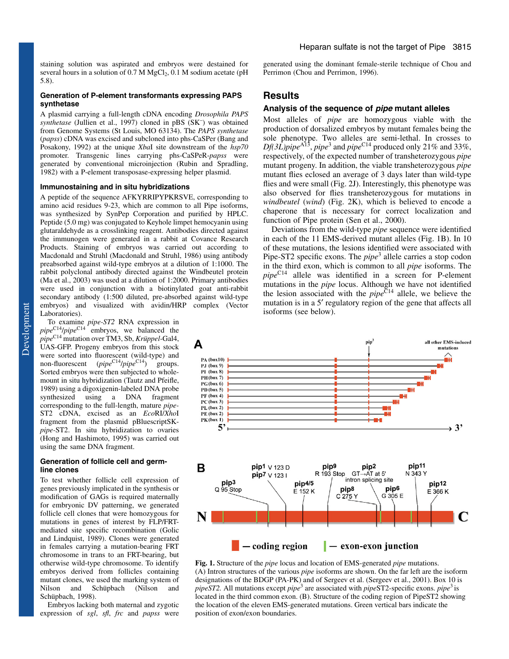Development Development

5.8).

**synthetase**

secondary antibody (1:500 diluted, pre-absorbed against wild-type embryos) and visualized with avidin/HRP complex (Vector Laboratories). To examine *pipe-ST2* RNA expression in *pipe*C14/*pipe*C14 embryos, we balanced the *pipe*C14 mutation over TM3, Sb, *Krüppel*-Gal4, UAS-GFP. Progeny embryos from this stock were sorted into fluorescent (wild-type) and non-fluorescent (*pipe*<sup>C14</sup>/*pipe*<sup>C14</sup>) groups. Sorted embryos were then subjected to wholemount in situ hybridization (Tautz and Pfeifle, 1989) using a digoxigenin-labeled DNA probe synthesized using a DNA fragment corresponding to the full-length, mature *pipe-*ST2 cDNA, excised as an *Eco*RI/*Xho*I fragment from the plasmid pBluescriptSK*pipe-*ST2. In situ hybridization to ovaries

**Immunostaining and in situ hybridizations**

staining solution was aspirated and embryos were destained for several hours in a solution of  $0.7 M MgCl<sub>2</sub>$ ,  $0.1 M$  sodium acetate (pH

**Generation of P-element transformants expressing PAPS**

A plasmid carrying a full-length cDNA encoding *Drosophila PAPS* synthetase (Jullien et al., 1997) cloned in pBS (SK<sup>-</sup>) was obtained from Genome Systems (St Louis, MO 63134). The *PAPS synthetase* (*papss*) cDNA was excised and subcloned into phs-CaSPer (Bang and Posakony, 1992) at the unique *Xba*I site downstream of the *hsp70* promoter. Transgenic lines carrying phs-CaSPeR-*papss* were generated by conventional microinjection (Rubin and Spradling, 1982) with a P-element transposase-expressing helper plasmid.

A peptide of the sequence AFKYRRIPYPKRSVE, corresponding to amino acid residues 9-23, which are common to all Pipe isoforms, was synthesized by SynPep Corporation and purified by HPLC. Peptide (5.0 mg) was conjugated to Keyhole limpet hemocyanin using glutaraldehyde as a crosslinking reagent. Antibodies directed against the immunogen were generated in a rabbit at Covance Research Products. Staining of embryos was carried out according to Macdonald and Struhl (Macdonald and Struhl, 1986) using antibody preabsorbed against wild-type embryos at a dilution of 1:1000. The rabbit polyclonal antibody directed against the Windbeutel protein (Ma et al., 2003) was used at a dilution of 1:2000. Primary antibodies were used in conjunction with a biotinylated goat anti-rabbit

A

PA (box10)

#### **Generation of follicle cell and germline clones**

using the same DNA fragment.

(Hong and Hashimoto, 1995) was carried out

To test whether follicle cell expression of genes previously implicated in the synthesis or modification of GAGs is required maternally for embryonic DV patterning, we generated follicle cell clones that were homozygous for mutations in genes of interest by FLP/FRTmediated site specific recombination (Golic and Lindquist, 1989). Clones were generated in females carrying a mutation-bearing FRT chromosome in trans to an FRT-bearing, but otherwise wild-type chromosome. To identify embryos derived from follicles containing mutant clones, we used the marking system of Nilson and Schüpbach (Nilson and Schüpbach, 1998).

Embryos lacking both maternal and zygotic expression of *sgl*, *sfl*, *frc* and *papss* were generated using the dominant female-sterile technique of Chou and Perrimon (Chou and Perrimon, 1996).

# **Results**

#### **Analysis of the sequence of pipe mutant alleles**

Most alleles of *pipe* are homozygous viable with the production of dorsalized embryos by mutant females being the sole phenotype. Two alleles are semi-lethal. In crosses to  $Df(3L)pipe^{A13}$ ,  $pipe^3$  and  $pipe^{C14}$  produced only 21% and 33%, respectively, of the expected number of transheterozygous *pipe* mutant progeny. In addition, the viable transheterozygous *pipe* mutant flies eclosed an average of 3 days later than wild-type flies and were small (Fig. 2J). Interestingly, this phenotype was also observed for flies transheterozygous for mutations in *windbeutel* (*wind*) (Fig. 2K), which is believed to encode a chaperone that is necessary for correct localization and function of Pipe protein (Sen et al., 2000).

Deviations from the wild-type *pipe* sequence were identified in each of the 11 EMS-derived mutant alleles (Fig. 1B). In 10 of these mutations, the lesions identified were associated with Pipe-ST2 specific exons. The *pipe*<sup>3</sup> allele carries a stop codon in the third exon, which is common to all *pipe* isoforms. The *pipe*C14 allele was identified in a screen for P-element mutations in the *pipe* locus. Although we have not identified the lesion associated with the *pipe*C14 allele, we believe the mutation is in a 5′ regulatory region of the gene that affects all isoforms (see below).

pip

all other EMS-induced

mutations



(A) Intron structures of the various *pipe* isoforms are shown. On the far left are the isoform designations of the BDGP (PA-PK) and of Sergeev et al. (Sergeev et al., 2001). Box 10 is *pipeST2*. All mutations except *pipe*<sup>3</sup> are associated with *pipeST2*-specific exons. *pipe*<sup>3</sup> is located in the third common exon. (B). Structure of the coding region of PipeST2 showing the location of the eleven EMS-generated mutations. Green vertical bars indicate the position of exon/exon boundaries.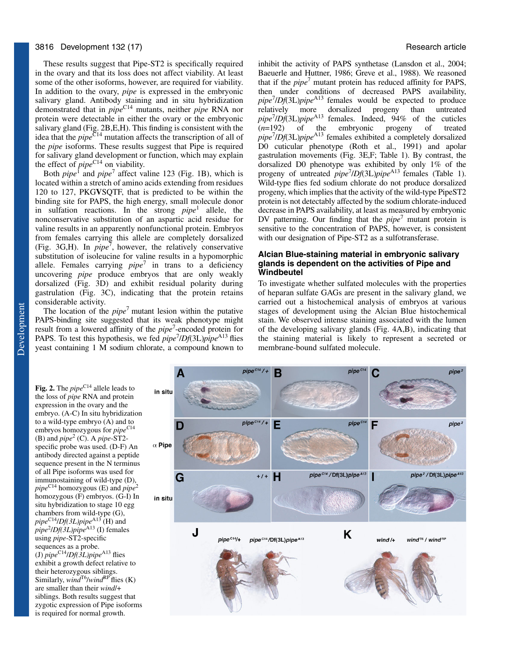These results suggest that Pipe-ST2 is specifically required in the ovary and that its loss does not affect viability. At least some of the other isoforms, however, are required for viability. In addition to the ovary, *pipe* is expressed in the embryonic salivary gland. Antibody staining and in situ hybridization demonstrated that in *pipe*C14 mutants, neither *pipe* RNA nor protein were detectable in either the ovary or the embryonic salivary gland (Fig. 2B,E,H). This finding is consistent with the idea that the *pipe*<sup>C14</sup> mutation affects the transcription of all of the *pipe* isoforms. These results suggest that Pipe is required for salivary gland development or function, which may explain the effect of *pipe*C14 on viability.

Both *pipe*<sup>1</sup> and *pipe*<sup>7</sup> affect valine 123 (Fig. 1B), which is located within a stretch of amino acids extending from residues 120 to 127, PKG**V**SQTF, that is predicted to be within the binding site for PAPS, the high energy, small molecule donor in sulfation reactions. In the strong *pipe*<sup>1</sup> allele, the nonconservative substitution of an aspartic acid residue for valine results in an apparently nonfunctional protein. Embryos from females carrying this allele are completely dorsalized (Fig. 3G,H). In  $pipe^7$ , however, the relatively conservative substitution of isoleucine for valine results in a hypomorphic allele. Females carrying *pipe*<sup>7</sup> in trans to a deficiency uncovering *pipe* produce embryos that are only weakly dorsalized (Fig. 3D) and exhibit residual polarity during gastrulation (Fig. 3C), indicating that the protein retains considerable activity.

The location of the *pipe*7 mutant lesion within the putative PAPS-binding site suggested that its weak phenotype might result from a lowered affinity of the *pipe*<sup>7</sup> -encoded protein for PAPS. To test this hypothesis, we fed *pipe*<sup>7</sup>/*Df*(3L)*pipe*<sup>A13</sup> flies yeast containing 1 M sodium chlorate, a compound known to

inhibit the activity of PAPS synthetase (Lansdon et al., 2004; Baeuerle and Huttner, 1986; Greve et al., 1988). We reasoned that if the *pipe*<sup>7</sup> mutant protein has reduced affinity for PAPS, then under conditions of decreased PAPS availability, *pipe*<sup>7</sup> /*Df*(3L)*pipe*A13 females would be expected to produce relatively more dorsalized progeny than untreated *pipe*<sup>7</sup> /*Df*(3L)*pipe*A13 females. Indeed, 94% of the cuticles (*n*=192) of the embryonic progeny of treated *pipe*<sup>7</sup> /*Df*(3L)*pipe*A13 females exhibited a completely dorsalized D0 cuticular phenotype (Roth et al., 1991) and apolar gastrulation movements (Fig. 3E,F; Table 1). By contrast, the dorsalized D0 phenotype was exhibited by only 1% of the progeny of untreated *pipe<sup>7</sup>/Df*(3L)*pipe*<sup>A13</sup> females (Table 1). Wild-type flies fed sodium chlorate do not produce dorsalized progeny, which implies that the activity of the wild-type PipeST2 protein is not detectably affected by the sodium chlorate-induced decrease in PAPS availability, at least as measured by embryonic DV patterning. Our finding that the *pipe*<sup>7</sup> mutant protein is sensitive to the concentration of PAPS, however, is consistent with our designation of Pipe-ST2 as a sulfotransferase.

#### **Alcian Blue-staining material in embryonic salivary glands is dependent on the activities of Pipe and Windbeutel**

To investigate whether sulfated molecules with the properties of heparan sulfate GAGs are present in the salivary gland, we carried out a histochemical analysis of embryos at various stages of development using the Alcian Blue histochemical stain. We observed intense staining associated with the lumen of the developing salivary glands (Fig. 4A,B), indicating that the staining material is likely to represent a secreted or membrane-bound sulfated molecule.

Fig. 2. The *pipe*<sup>C14</sup> allele leads to the loss of *pipe* RNA and protein expression in the ovary and the embryo. (A-C) In situ hybridization to a wild-type embryo (A) and to embryos homozygous for *pipeC*<sup>14</sup> (B) and *pipe*<sup>2</sup> (C). A *pipe*-ST2 specific probe was used. (D-F) An antibody directed against a peptide sequence present in the N terminus of all Pipe isoforms was used for immunostaining of wild-type (D),  $pipe^{C14}$  homozygous (E) and  $pipe^2$ homozygous (F) embryos. (G-I) In situ hybridization to stage 10 egg chambers from wild-type (G), *pipe*C14/*Df(3L)pipe*A13 (H) and *pipe*<sup>2</sup> /*Df(3L)pipe*A13 (I) females using *pipe*-ST2-specific sequences as a probe. (J) *pipe*C14/*Df(3L)pipe*A13 flies exhibit a growth defect relative to their heterozygous siblings. Similarly,  $wind^{\text{TS}}/wind^{\text{RP}}$  flies (K) are smaller than their *wind*/+ siblings. Both results suggest that zygotic expression of Pipe isoforms is required for normal growth.

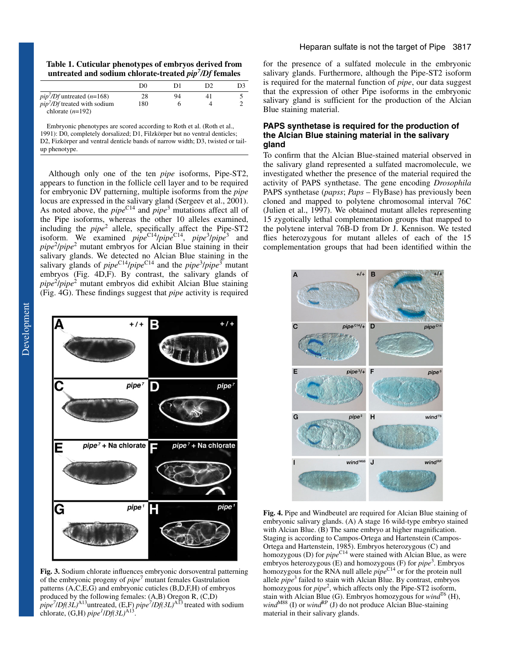**Table 1. Cuticular phenotypes of embryos derived from untreated and sodium chlorate-treated** *pip<sup>7</sup> /Df* **females**

|                                        | DO  | ונו |  |
|----------------------------------------|-----|-----|--|
| $pi p^7/Df$ untreated ( <i>n</i> =168) | 28  | 94  |  |
| $pi p^7/Df$ treated with sodium        | 180 |     |  |
| chlorate $(n=192)$                     |     |     |  |

Embryonic phenotypes are scored according to Roth et al. (Roth et al., 1991): D0, completely dorsalized; D1, Filzkörper but no ventral denticles; D2, Fizkörper and ventral denticle bands of narrow width; D3, twisted or tailup phenotype.

Although only one of the ten *pipe* isoforms, Pipe-ST2, appears to function in the follicle cell layer and to be required for embryonic DV patterning, multiple isoforms from the *pipe* locus are expressed in the salivary gland (Sergeev et al., 2001). As noted above, the *pipe*<sup>C14</sup> and *pipe*<sup>3</sup> mutations affect all of the Pipe isoforms, whereas the other 10 alleles examined, including the *pipe*<sup>2</sup> allele, specifically affect the Pipe-ST2 isoform. We examined *pipe*<sup>C14</sup>/*pipe*<sup>C14</sup>, *pipe*<sup>3</sup>/*pipe*<sup>3</sup> and *pipe*<sup>2</sup> /*pipe*<sup>2</sup> mutant embryos for Alcian Blue staining in their salivary glands. We detected no Alcian Blue staining in the salivary glands of *pipe*<sup>C14</sup>/pipe<sup>C14</sup> and the *pipe*<sup>3</sup>/pipe<sup>3</sup> mutant embryos (Fig. 4D,F). By contrast, the salivary glands of *pipe*<sup>2</sup> /*pipe*<sup>2</sup> mutant embryos did exhibit Alcian Blue staining (Fig. 4G). These findings suggest that *pipe* activity is required



**Fig. 3.** Sodium chlorate influences embryonic dorsoventral patterning of the embryonic progeny of *pipe*<sup>7</sup> mutant females Gastrulation patterns (A,C,E,G) and embryonic cuticles (B,D,F,H) of embryos produced by the following females: (A,B) Oregon R, (C,D) *pipe<sup>7</sup>* /*Df(3L)*A13untreated, (E,F) *pipe<sup>7</sup>* /*Df(3L)*A13 treated with sodium chlorate, (G,H) *pipe1* /*Df(3L)*A13.

for the presence of a sulfated molecule in the embryonic salivary glands. Furthermore, although the Pipe-ST2 isoform is required for the maternal function of *pipe*, our data suggest that the expression of other Pipe isoforms in the embryonic salivary gland is sufficient for the production of the Alcian Blue staining material.

#### **PAPS synthetase is required for the production of the Alcian Blue staining material in the salivary gland**

To confirm that the Alcian Blue-stained material observed in the salivary gland represented a sulfated macromolecule, we investigated whether the presence of the material required the activity of PAPS synthetase. The gene encoding *Drosophila* PAPS synthetase (*papss*; *Paps* – FlyBase) has previously been cloned and mapped to polytene chromosomal interval 76C (Julien et al., 1997). We obtained mutant alleles representing 15 zygotically lethal complementation groups that mapped to the polytene interval 76B-D from Dr J. Kennison. We tested flies heterozygous for mutant alleles of each of the 15 complementation groups that had been identified within the



**Fig. 4.** Pipe and Windbeutel are required for Alcian Blue staining of embryonic salivary glands. (A) A stage 16 wild-type embryo stained with Alcian Blue. (B) The same embryo at higher magnification. Staging is according to Campos-Ortega and Hartenstein (Campos-Ortega and Hartenstein, 1985). Embryos heterozygous (C) and homozygous (D) for *pipe*<sup>C14</sup> were stained with Alcian Blue, as were embryos heterozygous (E) and homozygous (F) for *pipe*<sup>3</sup> . Embryos homozygous for the RNA null allele *pipe*C14 or for the protein null allele *pipe*<sup>3</sup> failed to stain with Alcian Blue. By contrast, embryos homozygous for *pipe*<sup>2</sup>, which affects only the Pipe-ST2 isoform, stain with Alcian Blue (G). Embryos homozygous for *wind*T6 (H), *wind*<sup>M88</sup> (I) or *wind*<sup>RP</sup> (J) do not produce Alcian Blue-staining material in their salivary glands.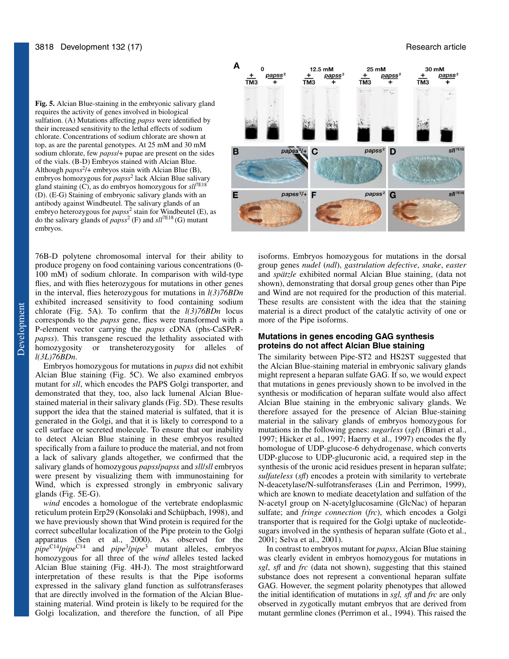**Fig. 5.** Alcian Blue-staining in the embryonic salivary gland requires the activity of genes involved in biological sulfation. (A) Mutations affecting *papss* were identified by their increased sensitivity to the lethal effects of sodium chlorate. Concentrations of sodium chlorate are shown at top, as are the parental genotypes. At 25 mM and 30 mM sodium chlorate, few *papss*/+ pupae are present on the sides of the vials. (B-D) Embryos stained with Alcian Blue. Although *papss*<sup>2</sup>/+ embryos stain with Alcian Blue (B), embryos homozygous for *papss*<sup>2</sup> lack Alcian Blue salivary gland staining  $(C)$ , as do embryos homozygous for  $\mathfrak{sl}^{\prime}$ <sup>7E18</sup> (D). (E-G) Staining of embryonic salivary glands with an antibody against Windbeutel. The salivary glands of an embryo heterozygous for *papss*<sup>2</sup> stain for Windbeutel (E), as do the salivary glands of  $papss^2$  (F) and  $sll^{7E18}$  (G) mutant embryos.



76B-D polytene chromosomal interval for their ability to produce progeny on food containing various concentrations (0- 100 mM) of sodium chlorate. In comparison with wild-type flies, and with flies heterozygous for mutations in other genes in the interval, flies heterozygous for mutations in *l(3)76BDn* exhibited increased sensitivity to food containing sodium chlorate (Fig. 5A). To confirm that the *l(3)76BDn* locus corresponds to the *papss* gene, flies were transformed with a P-element vector carrying the *papss* cDNA (phs-CaSPeR*papss*). This transgene rescued the lethality associated with homozygosity or transheterozygosity for alleles of *l(3L)76BDn*.

Embryos homozygous for mutations in *papss* did not exhibit Alcian Blue staining (Fig. 5C). We also examined embryos mutant for *sll*, which encodes the PAPS Golgi transporter, and demonstrated that they, too, also lack lumenal Alcian Bluestained material in their salivary glands (Fig. 5D). These results support the idea that the stained material is sulfated, that it is generated in the Golgi, and that it is likely to correspond to a cell surface or secreted molecule. To ensure that our inability to detect Alcian Blue staining in these embryos resulted specifically from a failure to produce the material, and not from a lack of salivary glands altogether, we confirmed that the salivary glands of homozygous *papss*/*papss* and *sll*/*sll* embryos were present by visualizing them with immunostaining for Wind, which is expressed strongly in embryonic salivary glands (Fig. 5E-G).

*wind* encodes a homologue of the vertebrate endoplasmic reticulum protein Erp29 (Konsolaki and Schüpbach, 1998), and we have previously shown that Wind protein is required for the correct subcellular localization of the Pipe protein to the Golgi apparatus (Sen et al., 2000). As observed for the  $\bar{pipe}^{\text{C14}}/pipe^{\text{C14}}$  and  $pipe^3/pipe^3$  mutant alleles, embryos homozygous for all three of the *wind* alleles tested lacked Alcian Blue staining (Fig. 4H-J). The most straightforward interpretation of these results is that the Pipe isoforms expressed in the salivary gland function as sulfotransferases that are directly involved in the formation of the Alcian Bluestaining material. Wind protein is likely to be required for the Golgi localization, and therefore the function, of all Pipe

isoforms. Embryos homozygous for mutations in the dorsal group genes *nudel* (*ndl*), *gastrulation defective*, *snake*, *easter* and *spätzle* exhibited normal Alcian Blue staining, (data not shown), demonstrating that dorsal group genes other than Pipe and Wind are not required for the production of this material. These results are consistent with the idea that the staining material is a direct product of the catalytic activity of one or more of the Pipe isoforms.

#### **Mutations in genes encoding GAG synthesis proteins do not affect Alcian Blue staining**

The similarity between Pipe-ST2 and HS2ST suggested that the Alcian Blue-staining material in embryonic salivary glands might represent a heparan sulfate GAG. If so, we would expect that mutations in genes previously shown to be involved in the synthesis or modification of heparan sulfate would also affect Alcian Blue staining in the embryonic salivary glands. We therefore assayed for the presence of Alcian Blue-staining material in the salivary glands of embryos homozygous for mutations in the following genes: *sugarless* (*sgl*) (Binari et al., 1997; Häcker et al., 1997; Haerry et al., 1997) encodes the fly homologue of UDP-glucose-6 dehydrogenase, which converts UDP-glucose to UDP-glucuronic acid, a required step in the synthesis of the uronic acid residues present in heparan sulfate; *sulfateless* (*sfl*) encodes a protein with similarity to vertebrate N-deacetylase/N-sulfotransferases (Lin and Perrimon, 1999), which are known to mediate deacetylation and sulfation of the N-acetyl group on N-acetylglucosamine (GlcNac) of heparan sulfate; and *fringe connection* (*frc*), which encodes a Golgi transporter that is required for the Golgi uptake of nucleotidesugars involved in the synthesis of heparan sulfate (Goto et al., 2001; Selva et al., 2001).

In contrast to embryos mutant for *papss*, Alcian Blue staining was clearly evident in embryos homozygous for mutations in *sgl*, *sfl* and *frc* (data not shown), suggesting that this stained substance does not represent a conventional heparan sulfate GAG. However, the segment polarity phenotypes that allowed the initial identification of mutations in *sgl, sfl* and *frc* are only observed in zygotically mutant embryos that are derived from mutant germline clones (Perrimon et al., 1994). This raised the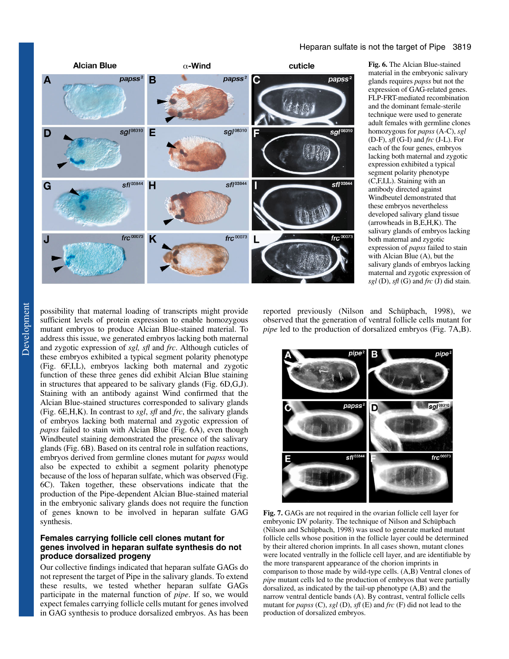

#### Heparan sulfate is not the target of Pipe 3819

**Fig. 6.** The Alcian Blue-stained material in the embryonic salivary glands requires *papss* but not the expression of GAG-related genes. FLP-FRT-mediated recombination and the dominant female-sterile technique were used to generate adult females with germline clones homozygous for *papss* (A-C), *sgl* (D-F), *sfl* (G-I) and *frc* (J-L). For each of the four genes, embryos lacking both maternal and zygotic expression exhibited a typical segment polarity phenotype (C,F,I,L). Staining with an antibody directed against Windbeutel demonstrated that these embryos nevertheless developed salivary gland tissue (arrowheads in B,E,H,K). The salivary glands of embryos lacking both maternal and zygotic expression of *papss* failed to stain with Alcian Blue (A), but the salivary glands of embryos lacking maternal and zygotic expression of *sgl* (D), *sfl* (G) and *frc* (J) did stain.

possibility that maternal loading of transcripts might provide sufficient levels of protein expression to enable homozygous mutant embryos to produce Alcian Blue-stained material. To address this issue, we generated embryos lacking both maternal and zygotic expression of *sgl, sfl* and *frc*. Although cuticles of these embryos exhibited a typical segment polarity phenotype (Fig. 6F,I,L), embryos lacking both maternal and zygotic function of these three genes did exhibit Alcian Blue staining in structures that appeared to be salivary glands (Fig. 6D,G,J). Staining with an antibody against Wind confirmed that the Alcian Blue-stained structures corresponded to salivary glands (Fig. 6E,H,K). In contrast to *sgl*, *sfl* and *frc*, the salivary glands of embryos lacking both maternal and zygotic expression of *papss* failed to stain with Alcian Blue (Fig. 6A), even though Windbeutel staining demonstrated the presence of the salivary glands (Fig. 6B). Based on its central role in sulfation reactions, embryos derived from germline clones mutant for *papss* would also be expected to exhibit a segment polarity phenotype because of the loss of heparan sulfate, which was observed (Fig. 6C). Taken together, these observations indicate that the production of the Pipe-dependent Alcian Blue-stained material in the embryonic salivary glands does not require the function of genes known to be involved in heparan sulfate GAG

#### **Females carrying follicle cell clones mutant for genes involved in heparan sulfate synthesis do not produce dorsalized progeny**

Our collective findings indicated that heparan sulfate GAGs do not represent the target of Pipe in the salivary glands. To extend these results, we tested whether heparan sulfate GAGs participate in the maternal function of *pipe*. If so, we would expect females carrying follicle cells mutant for genes involved in GAG synthesis to produce dorsalized embryos. As has been

reported previously (Nilson and Schüpbach, 1998), we observed that the generation of ventral follicle cells mutant for *pipe* led to the production of dorsalized embryos (Fig. 7A,B).



**Fig. 7.** GAGs are not required in the ovarian follicle cell layer for embryonic DV polarity. The technique of Nilson and Schüpbach (Nilson and Schüpbach, 1998) was used to generate marked mutant follicle cells whose position in the follicle layer could be determined by their altered chorion imprints. In all cases shown, mutant clones were located ventrally in the follicle cell layer, and are identifiable by the more transparent appearance of the chorion imprints in comparison to those made by wild-type cells. (A,B) Ventral clones of *pipe* mutant cells led to the production of embryos that were partially dorsalized, as indicated by the tail-up phenotype (A,B) and the narrow ventral denticle bands (A). By contrast, ventral follicle cells mutant for *papss* (C), *sgl* (D), *sfl* (E) and *frc* (F) did not lead to the production of dorsalized embryos.

synthesis.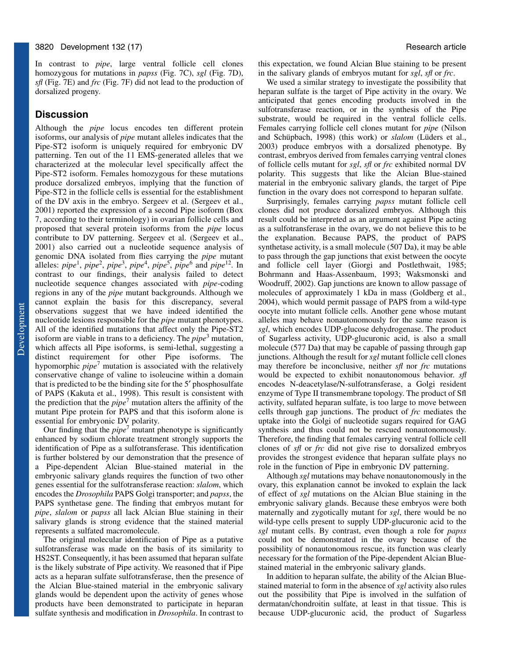In contrast to *pipe*, large ventral follicle cell clones homozygous for mutations in *papss* (Fig. 7C), *sgl* (Fig. 7D), *sfl* (Fig. 7E) and *frc* (Fig. 7F) did not lead to the production of dorsalized progeny.

## **Discussion**

Although the *pipe* locus encodes ten different protein isoforms, our analysis of *pipe* mutant alleles indicates that the Pipe-ST2 isoform is uniquely required for embryonic DV patterning. Ten out of the 11 EMS-generated alleles that we characterized at the molecular level specifically affect the Pipe-ST2 isoform. Females homozygous for these mutations produce dorsalized embryos, implying that the function of Pipe-ST2 in the follicle cells is essential for the establishment of the DV axis in the embryo. Sergeev et al. (Sergeev et al., 2001) reported the expression of a second Pipe isoform (Box 7, according to their terminology) in ovarian follicle cells and proposed that several protein isoforms from the *pipe* locus contribute to DV patterning. Sergeev et al. (Sergeev et al., 2001) also carried out a nucleotide sequence analysis of genomic DNA isolated from flies carrying the *pipe* mutant alleles:  $pipe<sup>1</sup>$ ,  $pipe<sup>2</sup>$ ,  $pipe<sup>3</sup>$ ,  $pipe<sup>4</sup>$ ,  $pipe<sup>5</sup>$ ,  $pipe<sup>6</sup>$  and  $pipe<sup>12</sup>$ . In contrast to our findings, their analysis failed to detect nucleotide sequence changes associated with *pipe*-coding regions in any of the *pipe* mutant backgrounds. Although we cannot explain the basis for this discrepancy, several observations suggest that we have indeed identified the nucleotide lesions responsible for the *pipe* mutant phenotypes. All of the identified mutations that affect only the Pipe-ST2 isoform are viable in trans to a deficiency. The *pipe*<sup>3</sup> mutation, which affects all Pipe isoforms, is semi-lethal, suggesting a distinct requirement for other Pipe isoforms. The hypomorphic *pipe*<sup>7</sup> mutation is associated with the relatively conservative change of valine to isoleucine within a domain that is predicted to be the binding site for the 5′ phosphosulfate of PAPS (Kakuta et al., 1998). This result is consistent with the prediction that the *pipe*<sup>7</sup> mutation alters the affinity of the mutant Pipe protein for PAPS and that this isoform alone is essential for embryonic DV polarity.

Our finding that the *pipe*<sup>7</sup> mutant phenotype is significantly enhanced by sodium chlorate treatment strongly supports the identification of Pipe as a sulfotransferase. This identification is further bolstered by our demonstration that the presence of a Pipe-dependent Alcian Blue-stained material in the embryonic salivary glands requires the function of two other genes essential for the sulfotransferase reaction: *slalom*, which encodes the *Drosophila* PAPS Golgi transporter; and *papss*, the PAPS synthetase gene. The finding that embryos mutant for *pipe*, *slalom* or *papss* all lack Alcian Blue staining in their salivary glands is strong evidence that the stained material represents a sulfated macromolecule.

The original molecular identification of Pipe as a putative sulfotransferase was made on the basis of its similarity to HS2ST. Consequently, it has been assumed that heparan sulfate is the likely substrate of Pipe activity. We reasoned that if Pipe acts as a heparan sulfate sulfotransferase, then the presence of the Alcian Blue-stained material in the embryonic salivary glands would be dependent upon the activity of genes whose products have been demonstrated to participate in heparan sulfate synthesis and modification in *Drosophila*. In contrast to

this expectation, we found Alcian Blue staining to be present in the salivary glands of embryos mutant for *sgl*, *sfl* or *frc*.

We used a similar strategy to investigate the possibility that heparan sulfate is the target of Pipe activity in the ovary. We anticipated that genes encoding products involved in the sulfotransferase reaction, or in the synthesis of the Pipe substrate, would be required in the ventral follicle cells. Females carrying follicle cell clones mutant for *pipe* (Nilson and Schüpbach, 1998) (this work) or *slalom* (Lüders et al., 2003) produce embryos with a dorsalized phenotype. By contrast, embryos derived from females carrying ventral clones of follicle cells mutant for *sgl*, *sfl* or *frc* exhibited normal DV polarity. This suggests that like the Alcian Blue-stained material in the embryonic salivary glands, the target of Pipe function in the ovary does not correspond to heparan sulfate.

Surprisingly, females carrying *papss* mutant follicle cell clones did not produce dorsalized embryos. Although this result could be interpreted as an argument against Pipe acting as a sulfotransferase in the ovary, we do not believe this to be the explanation. Because PAPS, the product of PAPS synthetase activity, is a small molecule (507 Da**)**, it may be able to pass through the gap junctions that exist between the oocyte and follicle cell layer (Giorgi and Postlethwait, 1985; Bohrmann and Haas-Assenbaum, 1993; Waksmonski and Woodruff, 2002). Gap junctions are known to allow passage of molecules of approximately 1 kDa in mass (Goldberg et al., 2004), which would permit passage of PAPS from a wild-type oocyte into mutant follicle cells. Another gene whose mutant alleles may behave nonautonomously for the same reason is *sgl*, which encodes UDP-glucose dehydrogenase. The product of Sugarless activity, UDP-glucuronic acid, is also a small molecule (577 Da**)** that may be capable of passing through gap junctions. Although the result for *sgl* mutant follicle cell clones may therefore be inconclusive, neither *sfl* nor *frc* mutations would be expected to exhibit nonautonomous behavior. *sfl* encodes N-deacetylase/N-sulfotransferase, a Golgi resident enzyme of Type II transmembrane topology. The product of Sfl activity, sulfated heparan sulfate, is too large to move between cells through gap junctions. The product of *frc* mediates the uptake into the Golgi of nucleotide sugars required for GAG synthesis and thus could not be rescued nonautonomously. Therefore, the finding that females carrying ventral follicle cell clones of *sfl* or *frc* did not give rise to dorsalized embryos provides the strongest evidence that heparan sulfate plays no role in the function of Pipe in embryonic DV patterning.

Although *sgl* mutations may behave nonautonomously in the ovary, this explanation cannot be invoked to explain the lack of effect of *sgl* mutations on the Alcian Blue staining in the embryonic salivary glands. Because these embryos were both maternally and zygotically mutant for *sgl*, there would be no wild-type cells present to supply UDP-glucuronic acid to the *sgl* mutant cells. By contrast, even though a role for *papss* could not be demonstrated in the ovary because of the possibility of nonautonomous rescue, its function was clearly necessary for the formation of the Pipe-dependent Alcian Bluestained material in the embryonic salivary glands.

In addition to heparan sulfate, the ability of the Alcian Bluestained material to form in the absence of *sgl* activity also rules out the possibility that Pipe is involved in the sulfation of dermatan/chondroitin sulfate, at least in that tissue. This is because UDP-glucuronic acid, the product of Sugarless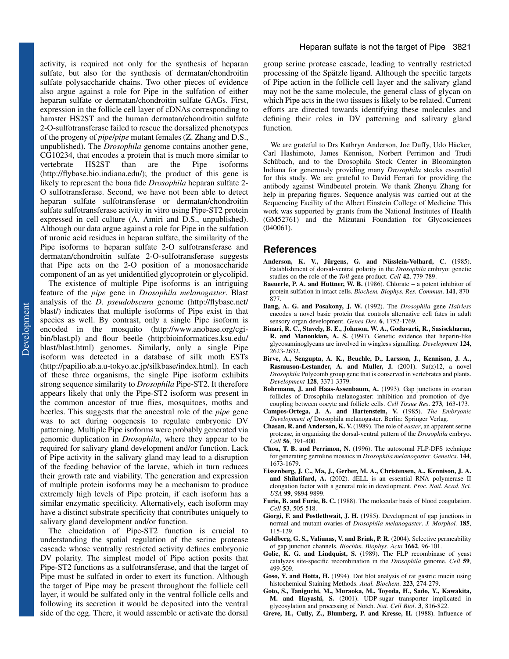sulfate, but also for the synthesis of dermatan/chondroitin sulfate polysaccharide chains. Two other pieces of evidence also argue against a role for Pipe in the sulfation of either heparan sulfate or dermatan/chondroitin sulfate GAGs. First, expression in the follicle cell layer of cDNAs corresponding to hamster HS2ST and the human dermatan/chondroitin sulfate 2-O-sulfotransferase failed to rescue the dorsalized phenotypes of the progeny of *pipe*/*pipe* mutant females (Z. Zhang and D.S., unpublished). The *Drosophila* genome contains another gene, CG10234, that encodes a protein that is much more similar to vertebrate HS2ST than are the Pipe isoforms (http://flybase.bio.indiana.edu/); the product of this gene is likely to represent the bona fide *Drosophila* heparan sulfate 2- O sulfotransferase. Second, we have not been able to detect heparan sulfate sulfotransferase or dermatan/chondroitin sulfate sulfotransferase activity in vitro using Pipe-ST2 protein expressed in cell culture (A. Amiri and D.S., unpublished). Although our data argue against a role for Pipe in the sulfation of uronic acid residues in heparan sulfate, the similarity of the Pipe isoforms to heparan sulfate 2-O sulfotransferase and dermatan/chondroitin sulfate 2-O-sulfotransferase suggests that Pipe acts on the 2-O position of a monosaccharide component of an as yet unidentified glycoprotein or glycolipid. The existence of multiple Pipe isoforms is an intriguing

activity, is required not only for the synthesis of heparan

feature of the *pipe* gene in *Drosophila melanogaster*. Blast analysis of the *D. pseudobscura* genome (http://flybase.net/ blast/) indicates that multiple isoforms of Pipe exist in that species as well. By contrast, only a single Pipe isoform is encoded in the mosquito (http://www.anobase.org/cgibin/blast.pl) and flour beetle (http:bioinformatices.ksu.edu/ blast/blast.html) genomes. Similarly, only a single Pipe isoform was detected in a database of silk moth ESTs (http://papilio.ab.a.u-tokyo.ac.jp/silkbase/index.html). In each of these three organisms, the single Pipe isoform exhibits strong sequence similarity to *Drosophila* Pipe-ST2. It therefore appears likely that only the Pipe-ST2 isoform was present in the common ancestor of true flies, mosquitoes, moths and beetles. This suggests that the ancestral role of the *pipe* gene was to act during oogenesis to regulate embryonic DV patterning. Multiple Pipe isoforms were probably generated via genomic duplication in *Drosophila*, where they appear to be required for salivary gland development and/or function. Lack of Pipe activity in the salivary gland may lead to a disruption of the feeding behavior of the larvae, which in turn reduces their growth rate and viability. The generation and expression of multiple protein isoforms may be a mechanism to produce extremely high levels of Pipe protein, if each isoform has a similar enzymatic specificity. Alternatively, each isoform may have a distinct substrate specificity that contributes uniquely to salivary gland development and/or function.

The elucidation of Pipe-ST2 function is crucial to understanding the spatial regulation of the serine protease cascade whose ventrally restricted activity defines embryonic DV polarity. The simplest model of Pipe action posits that Pipe-ST2 functions as a sulfotransferase, and that the target of Pipe must be sulfated in order to exert its function. Although the target of Pipe may be present throughout the follicle cell layer, it would be sulfated only in the ventral follicle cells and following its secretion it would be deposited into the ventral side of the egg. There, it would assemble or activate the dorsal

group serine protease cascade, leading to ventrally restricted processing of the Spätzle ligand. Although the specific targets of Pipe action in the follicle cell layer and the salivary gland may not be the same molecule, the general class of glycan on which Pipe acts in the two tissues is likely to be related. Current efforts are directed towards identifying these molecules and defining their roles in DV patterning and salivary gland function.

We are grateful to Drs Kathryn Anderson, Joe Duffy, Udo Häcker, Carl Hashimoto, James Kennison, Norbert Perrimon and Trudi Schübach, and to the Drosophila Stock Center in Bloomington Indiana for generously providing many *Drosophila* stocks essential for this study. We are grateful to David Ferrari for providing the antibody against Windbeutel protein. We thank Zhenyu Zhang for help in preparing figures. Sequence analysis was carried out at the Sequencing Facility of the Albert Einstein College of Medicine This work was supported by grants from the National Institutes of Health (GM52761) and the Mizutani Foundation for Glycosciences (040061).

#### **References**

- **Anderson, K. V., Jürgens, G. and Nüsslein-Volhard, C.** (1985). Establishment of dorsal-ventral polarity in the *Drosophila* embryo: genetic studies on the role of the *Toll* gene product. *Cell* **42**, 779-789.
- **Baeuerle, P. A. and Huttner, W. B.** (1986). Chlorate a potent inhibitor of protein sulfation in intact cells. *Biochem. Biophys. Res. Commun*. **141**, 870- 877.
- **Bang, A. G. and Posakony, J. W.** (1992). The *Drosophila* gene *Hairless* encodes a novel basic protein that controls alternative cell fates in adult sensory organ development. *Genes Dev.* **6**, 1752-1769.
- **Binari, R. C., Stavely, B. E., Johnson, W. A., Godavarti, R., Sasisekharan, R. and Manoukian, A. S.** (1997). Genetic evidence that heparin-like glycosaminoglycans are involved in wingless signalling. *Development* **124**, 2623-2632.
- **Birve, A., Sengupta, A. K., Beuchle, D., Larsson, J., Kennison, J. A., Rasmuson-Lestander, A. and Muller, J.** (2001). Su(z)12, a novel *Drosophila* Polycomb group gene that is conserved in vertebrates and plants. *Development* **128**, 3371-3379.
- **Bohrmann, J. and Haas-Assenbaum, A.** (1993). Gap junctions in ovarian follicles of Drosophila melanogaster: inhibition and promotion of dyecoupling between oocyte and follicle cells. *Cell Tissue Res*. **273**, 163-173.
- **Campos-Ortega, J. A. and Hartenstein, V.** (1985). *The Embryonic Development of* Drosophila melanogaster. Berlin: Springer Verlag.
- **Chasan, R. and Anderson, K. V.** (1989). The role of *easter*, an apparent serine protease, in organizing the dorsal-ventral pattern of the *Drosophila* embryo. *Cell* **56**, 391-400.
- **Chou, T. B. and Perrimon, N.** (1996). The autosomal FLP-DFS technique for generating germline mosaics in *Drosophila melanogaster*. *Genetics*. **144**, 1673-1679.
- **Eissenberg, J. C., Ma, J., Gerber, M. A., Christensen, A., Kennison, J. A. and Shilatifard, A.** (2002). dELL is an essential RNA polymerase II elongation factor with a general role in development. *Proc. Natl. Acad. Sci. USA* **99**, 9894-9899.
- **Furie, B. and Furie, B. C.** (1988). The molecular basis of blood coagulation. *Cell* **53**, 505-518.
- **Giorgi, F. and Postlethwait, J. H.** (1985). Development of gap junctions in normal and mutant ovaries of *Drosophila melanogaster*. *J. Morphol.* **185**, 115-129.
- **Goldberg, G. S., Valiunas, V. and Brink, P. R.** (2004). Selective permeability of gap junction channels. *Biochim. Biophys. Acta* **1662**, 96-101.
- **Golic, K. G. and Lindquist, S.** (1989). The FLP recombinase of yeast catalyzes site-specific recombination in the *Drosophila* genome. *Cell* **59**, 499-509.
- **Goso, Y. and Hotta, H.** (1994). Dot blot analysis of rat gastric mucin using histochemical Staining Methods. *Anal. Biochem*. **223**, 274-279.
- **Goto, S., Taniguchi, M., Muraoka, M., Toyoda, H., Sado, Y., Kawakita, M. and Hayashi, S.** (2001). UDP-sugar transporter implicated in glycosylation and processing of Notch. *Nat. Cell Biol*. **3**, 816-822.
- **Greve, H., Cully, Z., Blumberg, P. and Kresse, H.** (1988). Influence of